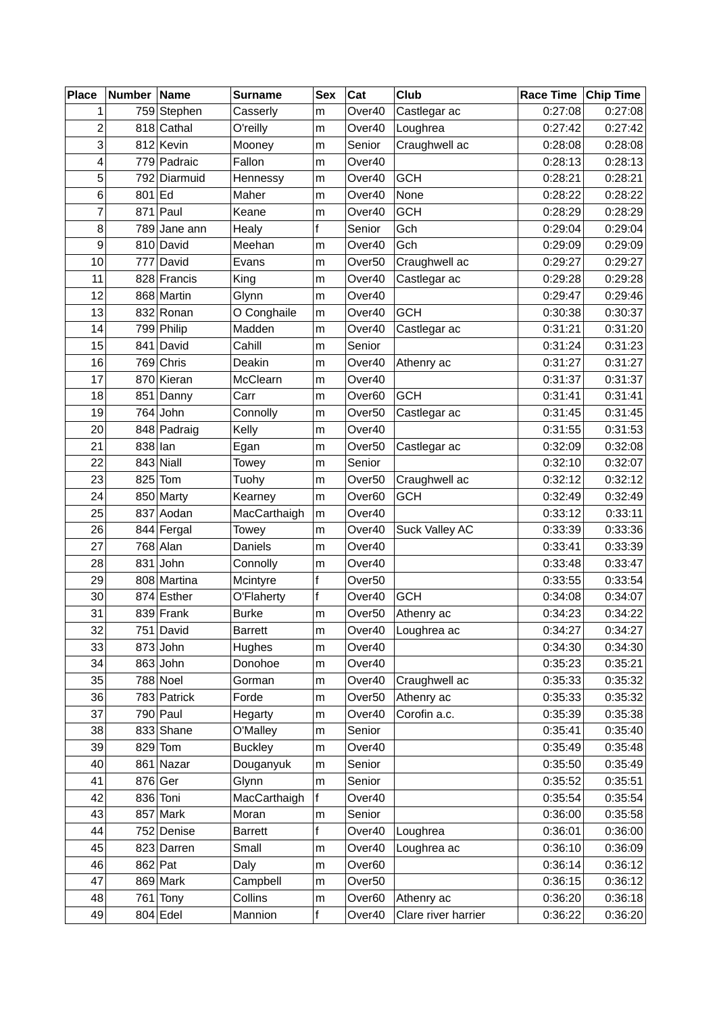| <b>Place</b>   | Number Name |              | <b>Surname</b> | <b>Sex</b>  | Cat                | Club                | Race Time | <b>Chip Time</b> |
|----------------|-------------|--------------|----------------|-------------|--------------------|---------------------|-----------|------------------|
| 1              |             | 759 Stephen  | Casserly       | m           | Over40             | Castlegar ac        | 0:27:08   | 0:27:08          |
| $\overline{c}$ |             | 818 Cathal   | O'reilly       | m           | Over40             | Loughrea            | 0:27:42   | 0:27:42          |
| 3              |             | 812 Kevin    | Mooney         | m           | Senior             | Craughwell ac       | 0:28:08   | 0:28:08          |
| 4              |             | 779 Padraic  | Fallon         | m           | Over40             |                     | 0:28:13   | 0:28:13          |
| 5              |             | 792 Diarmuid | Hennessy       | m           | Over40             | <b>GCH</b>          | 0:28:21   | 0:28:21          |
| 6              | $801$ Ed    |              | Maher          | m           | Over40             | None                | 0:28:22   | 0:28:22          |
| 7              |             | $871$ Paul   | Keane          | ${\sf m}$   | Over40             | <b>GCH</b>          | 0:28:29   | 0:28:29          |
| 8              |             | 789 Jane ann | Healy          | f           | Senior             | Gch                 | 0:29:04   | 0:29:04          |
| 9              |             | 810 David    | Meehan         | m           | Over40             | Gch                 | 0:29:09   | 0:29:09          |
| 10             |             | 777 David    | Evans          | m           | Over <sub>50</sub> | Craughwell ac       | 0:29:27   | 0:29:27          |
| 11             |             | 828 Francis  | King           | m           | Over40             | Castlegar ac        | 0:29:28   | 0:29:28          |
| 12             |             | 868 Martin   | Glynn          | m           | Over40             |                     | 0:29:47   | 0:29:46          |
| 13             |             | 832 Ronan    | O Conghaile    | m           | Over40             | <b>GCH</b>          | 0:30:38   | 0:30:37          |
| 14             |             | 799 Philip   | Madden         | m           | Over40             | Castlegar ac        | 0:31:21   | 0:31:20          |
| 15             |             | 841 David    | Cahill         | m           | Senior             |                     | 0:31:24   | 0:31:23          |
| 16             |             | $769$ Chris  | Deakin         | m           | Over40             | Athenry ac          | 0:31:27   | 0:31:27          |
| 17             |             | 870 Kieran   | McClearn       | m           | Over40             |                     | 0:31:37   | 0:31:37          |
| 18             |             | 851 Danny    | Carr           | m           | Over60             | <b>GCH</b>          | 0:31:41   | 0:31:41          |
| 19             |             | $764$ John   | Connolly       | m           | Over <sub>50</sub> | Castlegar ac        | 0:31:45   | 0:31:45          |
| 20             |             | 848 Padraig  | Kelly          | m           | Over40             |                     | 0:31:55   | 0:31:53          |
| 21             | $838$  lan  |              | Egan           | m           | Over <sub>50</sub> | Castlegar ac        | 0:32:09   | 0:32:08          |
| 22             |             | $843$ Niall  | Towey          | m           | Senior             |                     | 0:32:10   | 0:32:07          |
| 23             | 825         | Tom          | Tuohy          | m           | Over <sub>50</sub> | Craughwell ac       | 0:32:12   | 0:32:12          |
| 24             |             | 850 Marty    | Kearney        | m           | Over60             | <b>GCH</b>          | 0:32:49   | 0:32:49          |
| 25             |             | 837 Aodan    | MacCarthaigh   | m           | Over40             |                     | 0:33:12   | 0:33:11          |
| 26             |             | 844 Fergal   | Towey          | m           | Over40             | Suck Valley AC      | 0:33:39   | 0:33:36          |
| 27             |             | $768$ Alan   | Daniels        | m           | Over40             |                     | 0:33:41   | 0:33:39          |
| 28             |             | $831$ John   | Connolly       | m           | Over40             |                     | 0:33:48   | 0:33:47          |
| 29             |             | 808 Martina  | Mcintyre       | f           | Over <sub>50</sub> |                     | 0:33:55   | 0:33:54          |
| 30             |             | 874 Esther   | O'Flaherty     | f           | Over40             | <b>GCH</b>          | 0:34:08   | 0:34:07          |
| 31             |             | $839$ Frank  | <b>Burke</b>   | m           | Over <sub>50</sub> | Athenry ac          | 0:34:23   | 0:34:22          |
| 32             |             | 751 David    | Barrett        | m           | Over40             | Loughrea ac         | 0:34:27   | 0:34:27          |
| 33             |             | $873$ John   | Hughes         | m           | Over40             |                     | 0:34:30   | 0:34:30          |
| 34             |             | $863$ John   | Donohoe        | m           | Over40             |                     | 0:35:23   | 0:35:21          |
| 35             |             | 788 Noel     | Gorman         | m           | Over40             | Craughwell ac       | 0:35:33   | 0:35:32          |
| 36             |             | 783 Patrick  | Forde          | m           | Over <sub>50</sub> | Athenry ac          | 0:35:33   | 0:35:32          |
| 37             |             | $790$ Paul   | Hegarty        | m           | Over40             | Corofin a.c.        | 0:35:39   | 0:35:38          |
| 38             |             | 833 Shane    | O'Malley       | m           | Senior             |                     | 0:35:41   | 0:35:40          |
| 39             | 829         | Tom          | <b>Buckley</b> | m           | Over40             |                     | 0:35:49   | 0:35:48          |
| 40             |             | 861 Nazar    | Douganyuk      | m           | Senior             |                     | 0:35:50   | 0:35:49          |
| 41             |             | 876 Ger      | Glynn          | m           | Senior             |                     | 0:35:52   | 0:35:51          |
| 42             |             | 836 Toni     | MacCarthaigh   | f           | Over40             |                     | 0:35:54   | 0:35:54          |
| 43             |             | $857$ Mark   | Moran          | ${\sf m}$   | Senior             |                     | 0:36:00   | 0:35:58          |
| 44             |             | 752 Denise   | <b>Barrett</b> | f           | Over40             | Loughrea            | 0:36:01   | 0:36:00          |
| 45             |             | 823 Darren   | Small          | m           | Over40             | Loughrea ac         | 0:36:10   | 0:36:09          |
| 46             |             | $862$ Pat    | Daly           | m           | Over60             |                     | 0:36:14   | 0:36:12          |
| 47             |             | $869$ Mark   | Campbell       | m           | Over <sub>50</sub> |                     | 0:36:15   | 0:36:12          |
| 48             |             | $761$ Tony   | Collins        | m           | Over <sub>60</sub> | Athenry ac          | 0:36:20   | 0:36:18          |
| 49             |             | $804$ Edel   | Mannion        | $\mathsf f$ | Over40             | Clare river harrier | 0:36:22   | 0:36:20          |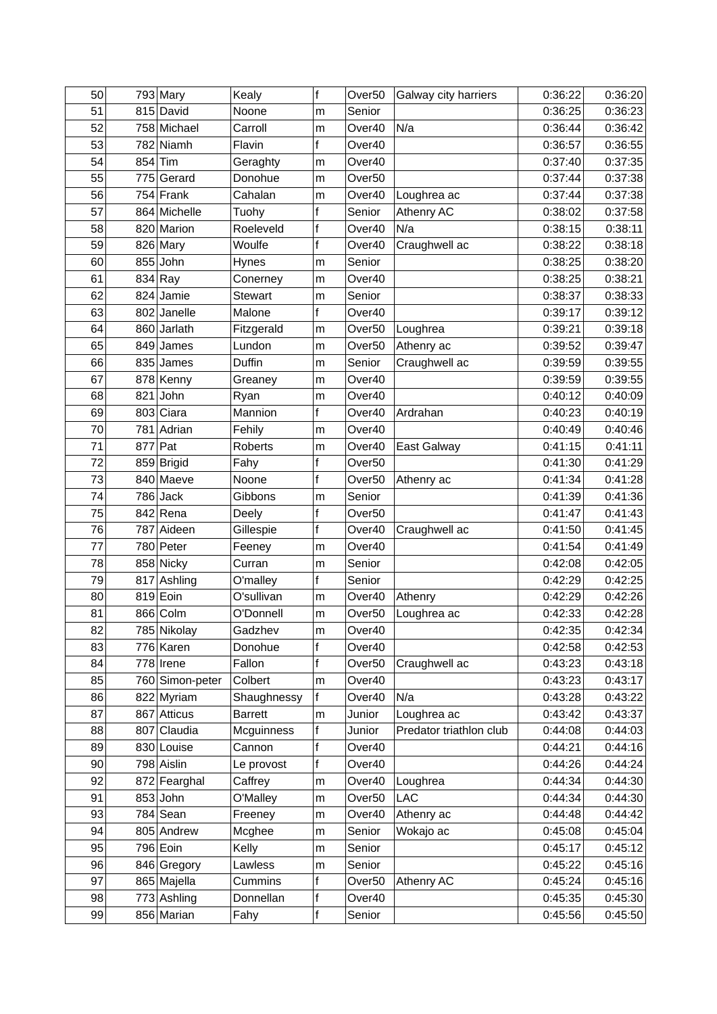| 50 |     | $793$ Mary      | Kealy          | $\mathsf f$  | Over <sub>50</sub> | Galway city harriers    | 0:36:22 | 0:36:20 |
|----|-----|-----------------|----------------|--------------|--------------------|-------------------------|---------|---------|
| 51 |     | 815 David       | Noone          | m            | Senior             |                         | 0:36:25 | 0:36:23 |
| 52 |     | 758 Michael     | Carroll        | m            | Over40             | N/a                     | 0:36:44 | 0:36:42 |
| 53 |     | 782 Niamh       | Flavin         | $\mathsf{f}$ | Over40             |                         | 0:36:57 | 0:36:55 |
| 54 | 854 | Tim             | Geraghty       | m            | Over40             |                         | 0:37:40 | 0:37:35 |
| 55 |     | 775 Gerard      | Donohue        | m            | Over <sub>50</sub> |                         | 0:37:44 | 0:37:38 |
| 56 |     | $754$ Frank     | Cahalan        | m            | Over40             | Loughrea ac             | 0:37:44 | 0:37:38 |
| 57 |     | 864 Michelle    | Tuohy          | f            | Senior             | Athenry AC              | 0:38:02 | 0:37:58 |
| 58 |     | 820 Marion      | Roeleveld      | $\mathsf f$  | Over40             | N/a                     | 0:38:15 | 0:38:11 |
| 59 |     | 826 Mary        | Woulfe         | f            | Over40             | Craughwell ac           | 0:38:22 | 0:38:18 |
| 60 |     | $855$ John      | Hynes          | m            | Senior             |                         | 0:38:25 | 0:38:20 |
| 61 |     | 834 Ray         | Conerney       | m            | Over40             |                         | 0:38:25 | 0:38:21 |
| 62 |     | $824$ Jamie     | <b>Stewart</b> | m            | Senior             |                         | 0:38:37 | 0:38:33 |
| 63 |     | 802 Janelle     | Malone         | $\mathbf f$  | Over40             |                         | 0:39:17 | 0:39:12 |
| 64 |     | 860 Jarlath     | Fitzgerald     | m            | Over <sub>50</sub> | Loughrea                | 0:39:21 | 0:39:18 |
| 65 |     | $849$ James     | Lundon         | m            | Over <sub>50</sub> | Athenry ac              | 0:39:52 | 0:39:47 |
| 66 |     | $835$ James     | Duffin         | m            | Senior             | Craughwell ac           | 0:39:59 | 0:39:55 |
| 67 |     | 878 Kenny       | Greaney        | m            | Over40             |                         | 0:39:59 | 0:39:55 |
| 68 |     | $821$ John      | Ryan           | m            | Over40             |                         | 0:40:12 | 0:40:09 |
| 69 |     | 803 Ciara       | Mannion        | $\mathsf{f}$ | Over40             | Ardrahan                | 0:40:23 | 0:40:19 |
| 70 |     | 781 Adrian      | Fehily         | m            | Over40             |                         | 0:40:49 | 0:40:46 |
| 71 |     | $877$ Pat       | Roberts        | m            | Over40             | East Galway             | 0:41:15 | 0:41:11 |
| 72 |     | 859 Brigid      | Fahy           | $\mathsf f$  | Over <sub>50</sub> |                         | 0:41:30 | 0:41:29 |
| 73 |     | 840 Maeve       | Noone          | $\mathbf f$  | Over <sub>50</sub> | Athenry ac              | 0:41:34 | 0:41:28 |
| 74 |     | $786$ Jack      | Gibbons        | m            | Senior             |                         | 0:41:39 | 0:41:36 |
| 75 |     | 842 Rena        | Deely          | $\mathsf{f}$ | Over <sub>50</sub> |                         | 0:41:47 | 0:41:43 |
| 76 |     | 787 Aideen      | Gillespie      | $\mathbf f$  | Over40             | Craughwell ac           | 0:41:50 | 0:41:45 |
| 77 |     | 780 Peter       | Feeney         | m            | Over40             |                         | 0:41:54 | 0:41:49 |
| 78 |     | 858 Nicky       | Curran         | m            | Senior             |                         | 0:42:08 | 0:42:05 |
| 79 |     | 817 Ashling     | O'malley       | f            | Senior             |                         | 0:42:29 | 0:42:25 |
| 80 |     | 819 Eoin        | O'sullivan     | m            | Over40             | Athenry                 | 0:42:29 | 0:42:26 |
| 81 |     | 866 Colm        | O'Donnell      | m            | Over <sub>50</sub> | Loughrea ac             | 0:42:33 | 0:42:28 |
| 82 |     | 785 Nikolay     | Gadzhev        | m            | Over40             |                         | 0:42:35 | 0:42:34 |
| 83 |     | 776 Karen       | Donohue        | f            | Over40             |                         | 0:42:58 | 0:42:53 |
| 84 |     | $778$ Irene     | Fallon         | f            | Over <sub>50</sub> | Craughwell ac           | 0:43:23 | 0:43:18 |
| 85 |     | 760 Simon-peter | Colbert        | m            | Over40             |                         | 0:43:23 | 0:43:17 |
| 86 |     | 822 Myriam      | Shaughnessy    | f            | Over40             | N/a                     | 0:43:28 | 0:43:22 |
| 87 |     | 867 Atticus     | <b>Barrett</b> | m            | Junior             | Loughrea ac             | 0:43:42 | 0:43:37 |
| 88 |     | 807 Claudia     | Mcguinness     | $\mathsf f$  | Junior             | Predator triathlon club | 0:44:08 | 0:44:03 |
| 89 |     | 830 Louise      | Cannon         | f            | Over40             |                         | 0:44:21 | 0:44:16 |
| 90 |     | 798 Aislin      | Le provost     | $\mathsf{f}$ | Over40             |                         | 0:44:26 | 0:44:24 |
| 92 |     | 872 Fearghal    | Caffrey        | m            | Over40             | Loughrea                | 0:44:34 | 0:44:30 |
| 91 |     | $853$ John      | O'Malley       | m            | Over <sub>50</sub> | <b>LAC</b>              | 0:44:34 | 0:44:30 |
| 93 |     | $784$ Sean      | Freeney        | m            | Over40             | Athenry ac              | 0:44:48 | 0:44:42 |
| 94 |     | 805 Andrew      | Mcghee         | m            | Senior             | Wokajo ac               | 0:45:08 | 0:45:04 |
| 95 |     | 796 Eoin        | Kelly          | m            | Senior             |                         | 0:45:17 | 0:45:12 |
| 96 |     | 846 Gregory     | Lawless        | m            | Senior             |                         | 0:45:22 | 0:45:16 |
| 97 |     | 865 Majella     | Cummins        | f            | Over <sub>50</sub> | Athenry AC              | 0:45:24 | 0:45:16 |
| 98 |     | 773 Ashling     | Donnellan      | $\mathsf f$  | Over40             |                         | 0:45:35 | 0:45:30 |
| 99 |     | 856 Marian      | Fahy           | f            | Senior             |                         | 0:45:56 | 0:45:50 |